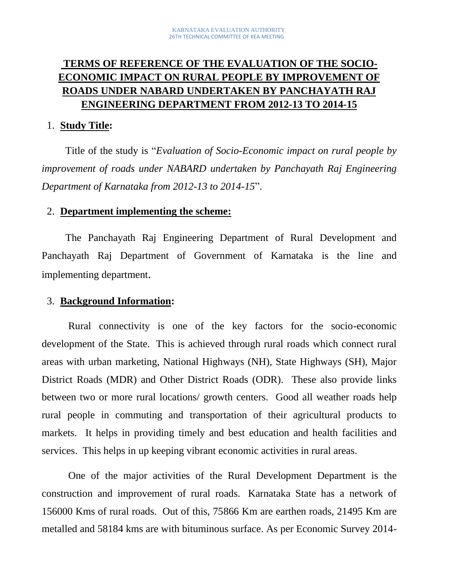# **TERMS OF REFERENCE OF THE EVALUATION OF THE SOCIO-ECONOMIC IMPACT ON RURAL PEOPLE BY IMPROVEMENT OF ROADS UNDER NABARD UNDERTAKEN BY PANCHAYATH RAJ ENGINEERING DEPARTMENT FROM 2012-13 TO 2014-15**

#### 1. **Study Title:**

Title of the study is "*Evaluation of Socio-Economic impact on rural people by improvement of roads under NABARD undertaken by Panchayath Raj Engineering Department of Karnataka from 2012-13 to 2014-15*".

#### 2. **Department implementing the scheme:**

The Panchayath Raj Engineering Department of Rural Development and Panchayath Raj Department of Government of Karnataka is the line and implementing department.

#### 3. **Background Information:**

Rural connectivity is one of the key factors for the socio-economic development of the State. This is achieved through rural roads which connect rural areas with urban marketing, National Highways (NH), State Highways (SH), Major District Roads (MDR) and Other District Roads (ODR). These also provide links between two or more rural locations/ growth centers. Good all weather roads help rural people in commuting and transportation of their agricultural products to markets. It helps in providing timely and best education and health facilities and services. This helps in up keeping vibrant economic activities in rural areas.

One of the major activities of the Rural Development Department is the construction and improvement of rural roads. Karnataka State has a network of 156000 Kms of rural roads. Out of this, 75866 Km are earthen roads, 21495 Km are metalled and 58184 kms are with bituminous surface. As per Economic Survey 2014-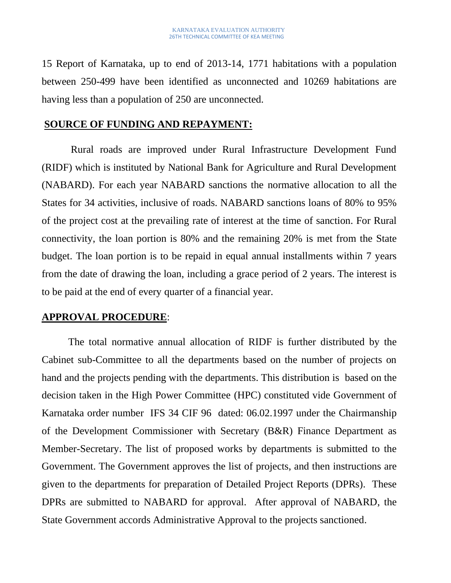15 Report of Karnataka, up to end of 2013-14, 1771 habitations with a population between 250-499 have been identified as unconnected and 10269 habitations are having less than a population of 250 are unconnected.

#### **SOURCE OF FUNDING AND REPAYMENT:**

Rural roads are improved under Rural Infrastructure Development Fund (RIDF) which is instituted by National Bank for Agriculture and Rural Development (NABARD). For each year NABARD sanctions the normative allocation to all the States for 34 activities, inclusive of roads. NABARD sanctions loans of 80% to 95% of the project cost at the prevailing rate of interest at the time of sanction. For Rural connectivity, the loan portion is 80% and the remaining 20% is met from the State budget. The loan portion is to be repaid in equal annual installments within 7 years from the date of drawing the loan, including a grace period of 2 years. The interest is to be paid at the end of every quarter of a financial year.

#### **APPROVAL PROCEDURE**:

The total normative annual allocation of RIDF is further distributed by the Cabinet sub-Committee to all the departments based on the number of projects on hand and the projects pending with the departments. This distribution is based on the decision taken in the High Power Committee (HPC) constituted vide Government of Karnataka order number IFS 34 CIF 96 dated: 06.02.1997 under the Chairmanship of the Development Commissioner with Secretary (B&R) Finance Department as Member-Secretary. The list of proposed works by departments is submitted to the Government. The Government approves the list of projects, and then instructions are given to the departments for preparation of Detailed Project Reports (DPRs). These DPRs are submitted to NABARD for approval. After approval of NABARD, the State Government accords Administrative Approval to the projects sanctioned.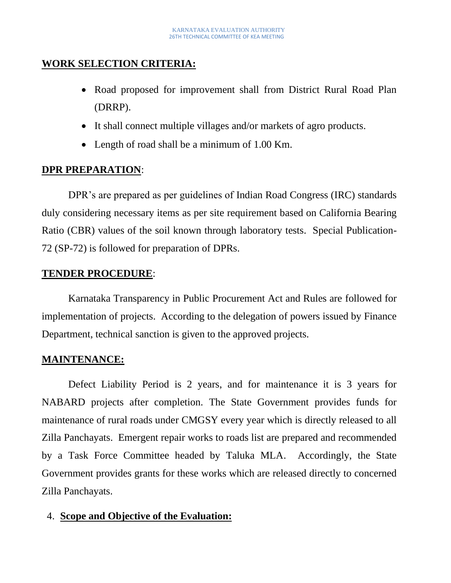## **WORK SELECTION CRITERIA:**

- Road proposed for improvement shall from District Rural Road Plan (DRRP).
- It shall connect multiple villages and/or markets of agro products.
- Length of road shall be a minimum of 1.00 Km.

## **DPR PREPARATION**:

DPR's are prepared as per guidelines of Indian Road Congress (IRC) standards duly considering necessary items as per site requirement based on California Bearing Ratio (CBR) values of the soil known through laboratory tests. Special Publication-72 (SP-72) is followed for preparation of DPRs.

## **TENDER PROCEDURE**:

Karnataka Transparency in Public Procurement Act and Rules are followed for implementation of projects. According to the delegation of powers issued by Finance Department, technical sanction is given to the approved projects.

## **MAINTENANCE:**

Defect Liability Period is 2 years, and for maintenance it is 3 years for NABARD projects after completion. The State Government provides funds for maintenance of rural roads under CMGSY every year which is directly released to all Zilla Panchayats. Emergent repair works to roads list are prepared and recommended by a Task Force Committee headed by Taluka MLA. Accordingly, the State Government provides grants for these works which are released directly to concerned Zilla Panchayats.

## 4. **Scope and Objective of the Evaluation:**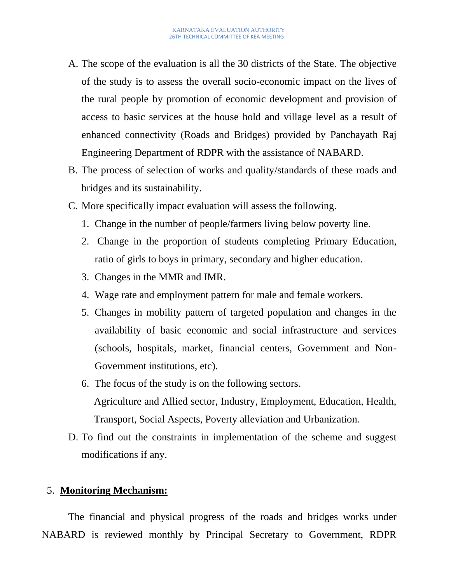- A. The scope of the evaluation is all the 30 districts of the State. The objective of the study is to assess the overall socio-economic impact on the lives of the rural people by promotion of economic development and provision of access to basic services at the house hold and village level as a result of enhanced connectivity (Roads and Bridges) provided by Panchayath Raj Engineering Department of RDPR with the assistance of NABARD.
- B. The process of selection of works and quality/standards of these roads and bridges and its sustainability.
- C. More specifically impact evaluation will assess the following.
	- 1. Change in the number of people/farmers living below poverty line.
	- 2. Change in the proportion of students completing Primary Education, ratio of girls to boys in primary, secondary and higher education.
	- 3. Changes in the MMR and IMR.
	- 4. Wage rate and employment pattern for male and female workers.
	- 5. Changes in mobility pattern of targeted population and changes in the availability of basic economic and social infrastructure and services (schools, hospitals, market, financial centers, Government and Non-Government institutions, etc).
	- 6. The focus of the study is on the following sectors. Agriculture and Allied sector, Industry, Employment, Education, Health, Transport, Social Aspects, Poverty alleviation and Urbanization.
- D. To find out the constraints in implementation of the scheme and suggest modifications if any.

#### 5. **Monitoring Mechanism:**

The financial and physical progress of the roads and bridges works under NABARD is reviewed monthly by Principal Secretary to Government, RDPR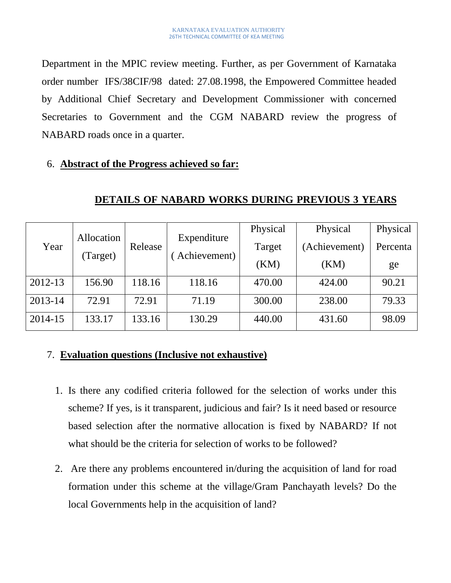Department in the MPIC review meeting. Further, as per Government of Karnataka order number IFS/38CIF/98 dated: 27.08.1998, the Empowered Committee headed by Additional Chief Secretary and Development Commissioner with concerned Secretaries to Government and the CGM NABARD review the progress of NABARD roads once in a quarter.

#### 6. **Abstract of the Progress achieved so far:**

| Year    | Allocation | Release | Expenditure  | Physical | Physical      | Physical |  |
|---------|------------|---------|--------------|----------|---------------|----------|--|
|         | (Target)   |         |              | Target   | (Achievement) | Percenta |  |
|         |            |         | Achievement) | (KM)     | (KM)          | ge       |  |
| 2012-13 | 156.90     | 118.16  | 118.16       | 470.00   | 424.00        | 90.21    |  |
| 2013-14 | 72.91      | 72.91   | 71.19        | 300.00   | 238.00        | 79.33    |  |
| 2014-15 | 133.17     | 133.16  | 130.29       | 440.00   | 431.60        | 98.09    |  |

#### **DETAILS OF NABARD WORKS DURING PREVIOUS 3 YEARS**

## 7. **Evaluation questions (Inclusive not exhaustive)**

- 1. Is there any codified criteria followed for the selection of works under this scheme? If yes, is it transparent, judicious and fair? Is it need based or resource based selection after the normative allocation is fixed by NABARD? If not what should be the criteria for selection of works to be followed?
- 2. Are there any problems encountered in/during the acquisition of land for road formation under this scheme at the village/Gram Panchayath levels? Do the local Governments help in the acquisition of land?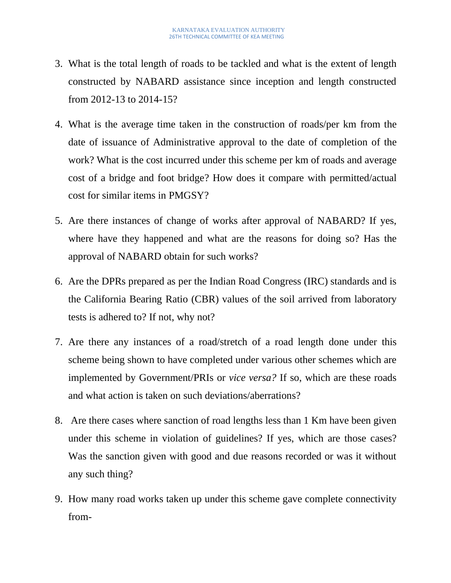- 3. What is the total length of roads to be tackled and what is the extent of length constructed by NABARD assistance since inception and length constructed from 2012-13 to 2014-15?
- 4. What is the average time taken in the construction of roads/per km from the date of issuance of Administrative approval to the date of completion of the work? What is the cost incurred under this scheme per km of roads and average cost of a bridge and foot bridge? How does it compare with permitted/actual cost for similar items in PMGSY?
- 5. Are there instances of change of works after approval of NABARD? If yes, where have they happened and what are the reasons for doing so? Has the approval of NABARD obtain for such works?
- 6. Are the DPRs prepared as per the Indian Road Congress (IRC) standards and is the California Bearing Ratio (CBR) values of the soil arrived from laboratory tests is adhered to? If not, why not?
- 7. Are there any instances of a road/stretch of a road length done under this scheme being shown to have completed under various other schemes which are implemented by Government/PRIs or *vice versa?* If so, which are these roads and what action is taken on such deviations/aberrations?
- 8. Are there cases where sanction of road lengths less than 1 Km have been given under this scheme in violation of guidelines? If yes, which are those cases? Was the sanction given with good and due reasons recorded or was it without any such thing?
- 9. How many road works taken up under this scheme gave complete connectivity from-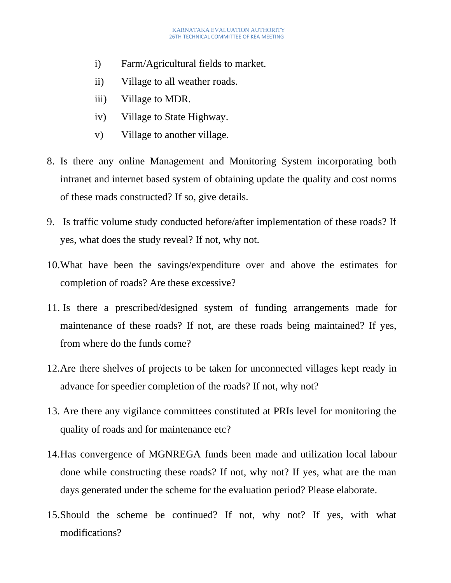- i) Farm/Agricultural fields to market.
- ii) Village to all weather roads.
- iii) Village to MDR.
- iv) Village to State Highway.
- v) Village to another village.
- 8. Is there any online Management and Monitoring System incorporating both intranet and internet based system of obtaining update the quality and cost norms of these roads constructed? If so, give details.
- 9. Is traffic volume study conducted before/after implementation of these roads? If yes, what does the study reveal? If not, why not.
- 10.What have been the savings/expenditure over and above the estimates for completion of roads? Are these excessive?
- 11. Is there a prescribed/designed system of funding arrangements made for maintenance of these roads? If not, are these roads being maintained? If yes, from where do the funds come?
- 12.Are there shelves of projects to be taken for unconnected villages kept ready in advance for speedier completion of the roads? If not, why not?
- 13. Are there any vigilance committees constituted at PRIs level for monitoring the quality of roads and for maintenance etc?
- 14.Has convergence of MGNREGA funds been made and utilization local labour done while constructing these roads? If not, why not? If yes, what are the man days generated under the scheme for the evaluation period? Please elaborate.
- 15.Should the scheme be continued? If not, why not? If yes, with what modifications?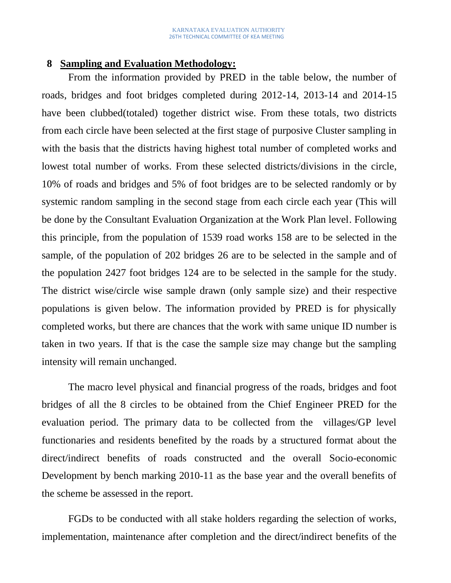#### **8 Sampling and Evaluation Methodology:**

From the information provided by PRED in the table below, the number of roads, bridges and foot bridges completed during 2012-14, 2013-14 and 2014-15 have been clubbed(totaled) together district wise. From these totals, two districts from each circle have been selected at the first stage of purposive Cluster sampling in with the basis that the districts having highest total number of completed works and lowest total number of works. From these selected districts/divisions in the circle, 10% of roads and bridges and 5% of foot bridges are to be selected randomly or by systemic random sampling in the second stage from each circle each year (This will be done by the Consultant Evaluation Organization at the Work Plan level. Following this principle, from the population of 1539 road works 158 are to be selected in the sample, of the population of 202 bridges 26 are to be selected in the sample and of the population 2427 foot bridges 124 are to be selected in the sample for the study. The district wise/circle wise sample drawn (only sample size) and their respective populations is given below. The information provided by PRED is for physically completed works, but there are chances that the work with same unique ID number is taken in two years. If that is the case the sample size may change but the sampling intensity will remain unchanged.

The macro level physical and financial progress of the roads, bridges and foot bridges of all the 8 circles to be obtained from the Chief Engineer PRED for the evaluation period. The primary data to be collected from the villages/GP level functionaries and residents benefited by the roads by a structured format about the direct/indirect benefits of roads constructed and the overall Socio-economic Development by bench marking 2010-11 as the base year and the overall benefits of the scheme be assessed in the report.

FGDs to be conducted with all stake holders regarding the selection of works, implementation, maintenance after completion and the direct/indirect benefits of the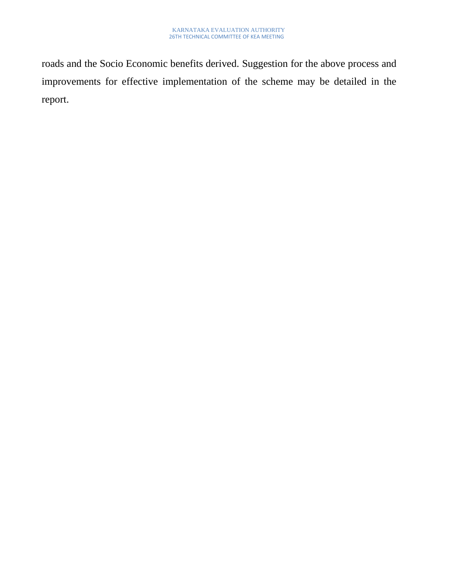roads and the Socio Economic benefits derived. Suggestion for the above process and improvements for effective implementation of the scheme may be detailed in the report.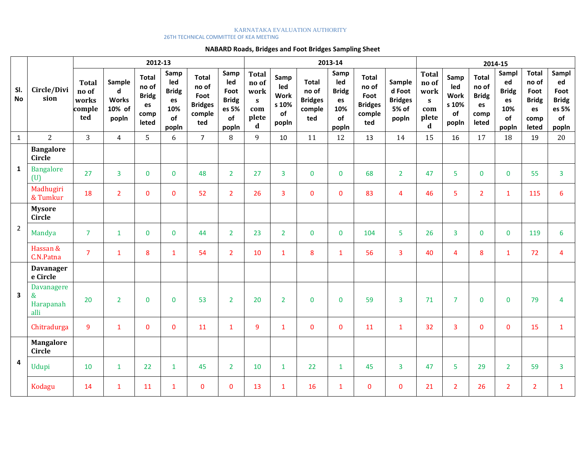#### KARNATAKA EVALUATION AUTHORITY 26TH TECHNICAL COMMITTEE OF KEA MEETING

#### **NABARD Roads, Bridges and Foot Bridges Sampling Sheet**

|                         | Circle/Divi<br>sion                         | 2012-13                                         |                                                |                                                              |                                                         |                                                                  |                                                             | 2013-14                                                           |                                                    |                                                   |                                                         |                                                                  |                                                      |                                                                    | 2014-15                                                   |                                                              |                                                         |                                                                      |                                                             |  |
|-------------------------|---------------------------------------------|-------------------------------------------------|------------------------------------------------|--------------------------------------------------------------|---------------------------------------------------------|------------------------------------------------------------------|-------------------------------------------------------------|-------------------------------------------------------------------|----------------------------------------------------|---------------------------------------------------|---------------------------------------------------------|------------------------------------------------------------------|------------------------------------------------------|--------------------------------------------------------------------|-----------------------------------------------------------|--------------------------------------------------------------|---------------------------------------------------------|----------------------------------------------------------------------|-------------------------------------------------------------|--|
| SI.<br><b>No</b>        |                                             | <b>Total</b><br>no of<br>works<br>comple<br>ted | Sample<br>d<br><b>Works</b><br>10% of<br>popln | <b>Total</b><br>no of<br><b>Bridg</b><br>es<br>comp<br>leted | Samp<br>led<br><b>Bridg</b><br>es<br>10%<br>of<br>popln | <b>Total</b><br>no of<br>Foot<br><b>Bridges</b><br>comple<br>ted | Samp<br>led<br>Foot<br><b>Bridg</b><br>es 5%<br>of<br>popln | <b>Total</b><br>no of<br>work<br>S<br>com<br>plete<br>$\mathbf d$ | Samp<br>led<br><b>Work</b><br>s 10%<br>of<br>popln | Total<br>no of<br><b>Bridges</b><br>comple<br>ted | Samp<br>led<br><b>Bridg</b><br>es<br>10%<br>of<br>popln | <b>Total</b><br>no of<br>Foot<br><b>Bridges</b><br>comple<br>ted | Sample<br>d Foot<br><b>Bridges</b><br>5% of<br>popln | <b>Total</b><br>no of<br>work<br>$\mathbf{s}$<br>com<br>plete<br>d | Samp<br>led<br><b>Work</b><br>s 10%<br><b>of</b><br>popln | <b>Total</b><br>no of<br><b>Bridg</b><br>es<br>comp<br>leted | Sampl<br>ed<br><b>Bridg</b><br>es<br>10%<br>of<br>popln | <b>Total</b><br>no of<br>Foot<br><b>Bridg</b><br>es<br>comp<br>leted | Sampl<br>ed<br>Foot<br><b>Bridg</b><br>es 5%<br>of<br>popln |  |
| $\mathbf{1}$            | 2                                           | $\overline{3}$                                  | $\overline{4}$                                 | 5                                                            | 6                                                       | $\overline{7}$                                                   | 8                                                           | 9                                                                 | 10                                                 | 11                                                | 12                                                      | 13                                                               | 14                                                   | 15                                                                 | 16                                                        | 17                                                           | 18                                                      | 19                                                                   | 20                                                          |  |
|                         | <b>Bangalore</b><br><b>Circle</b>           |                                                 |                                                |                                                              |                                                         |                                                                  |                                                             |                                                                   |                                                    |                                                   |                                                         |                                                                  |                                                      |                                                                    |                                                           |                                                              |                                                         |                                                                      |                                                             |  |
| $\mathbf{1}$            | <b>Bangalore</b><br>(U)                     | 27                                              | $\overline{3}$                                 | $\mathbf 0$                                                  | $\mathbf 0$                                             | 48                                                               | $\overline{2}$                                              | 27                                                                | $\overline{3}$                                     | $\mathbf 0$                                       | $\mathbf{0}$                                            | 68                                                               | $\overline{2}$                                       | 47                                                                 | 5                                                         | $\mathbf 0$                                                  | $\mathbf 0$                                             | 55                                                                   | $\mathbf{3}$                                                |  |
|                         | Madhugiri<br>& Tumkur                       | 18                                              | $\overline{2}$                                 | $\mathbf{0}$                                                 | $\mathbf{0}$                                            | 52                                                               | $\overline{2}$                                              | 26                                                                | $\overline{3}$                                     | $\mathbf 0$                                       | $\Omega$                                                | 83                                                               | $\overline{4}$                                       | 46                                                                 | 5                                                         | $\overline{2}$                                               | $\mathbf{1}$                                            | 115                                                                  | 6                                                           |  |
|                         | <b>Mysore</b><br>Circle                     |                                                 |                                                |                                                              |                                                         |                                                                  |                                                             |                                                                   |                                                    |                                                   |                                                         |                                                                  |                                                      |                                                                    |                                                           |                                                              |                                                         |                                                                      |                                                             |  |
| $\overline{2}$          | Mandya                                      | $\overline{7}$                                  | $\mathbf{1}$                                   | $\mathbf 0$                                                  | $\mathbf{0}$                                            | 44                                                               | $\overline{2}$                                              | 23                                                                | 2 <sup>1</sup>                                     | $\mathbf 0$                                       | $\mathbf{0}$                                            | 104                                                              | 5 <sup>1</sup>                                       | 26                                                                 | $\overline{3}$                                            | $\overline{0}$                                               | $\mathbf 0$                                             | 119                                                                  | 6                                                           |  |
|                         | Hassan &<br>C.N.Patna                       | $\overline{7}$                                  | $\mathbf{1}$                                   | 8                                                            | $\mathbf{1}$                                            | 54                                                               | $\overline{2}$                                              | 10                                                                | $\mathbf{1}$                                       | 8                                                 | $\mathbf{1}$                                            | 56                                                               | $\overline{3}$                                       | 40                                                                 | $\overline{4}$                                            | 8                                                            | $\mathbf{1}$                                            | 72                                                                   | $\overline{4}$                                              |  |
|                         | <b>Davanager</b><br>e Circle                |                                                 |                                                |                                                              |                                                         |                                                                  |                                                             |                                                                   |                                                    |                                                   |                                                         |                                                                  |                                                      |                                                                    |                                                           |                                                              |                                                         |                                                                      |                                                             |  |
| $\overline{\mathbf{3}}$ | <b>Davanagere</b><br>&<br>Harapanah<br>alli | 20                                              | $\overline{2}$                                 | $\mathbf 0$                                                  | $\mathbf{0}$                                            | 53                                                               | $\overline{2}$                                              | 20                                                                | $\overline{2}$                                     | $\mathbf{0}$                                      | $\Omega$                                                | 59                                                               | $\overline{3}$                                       | 71                                                                 | $\overline{7}$                                            | $\mathbf{0}$                                                 | $\mathbf{0}$                                            | 79                                                                   | 4                                                           |  |
|                         | Chitradurga                                 | 9                                               | $\mathbf{1}$                                   | $\mathbf{0}$                                                 | $\mathbf{0}$                                            | 11                                                               | $\mathbf{1}$                                                | 9                                                                 | $\mathbf{1}$                                       | $\mathbf{0}$                                      | $\Omega$                                                | 11                                                               | $\mathbf{1}$                                         | 32                                                                 | $\overline{3}$                                            | $\mathbf{0}$                                                 | $\mathbf{0}$                                            | 15                                                                   | $\mathbf{1}$                                                |  |
| 4                       | <b>Mangalore</b><br>Circle                  |                                                 |                                                |                                                              |                                                         |                                                                  |                                                             |                                                                   |                                                    |                                                   |                                                         |                                                                  |                                                      |                                                                    |                                                           |                                                              |                                                         |                                                                      |                                                             |  |
|                         | Udupi                                       | 10                                              | $\mathbf{1}$                                   | 22                                                           | $\mathbf{1}$                                            | 45                                                               | $\overline{2}$                                              | 10                                                                | $\mathbf{1}$                                       | 22                                                | $\mathbf{1}$                                            | 45                                                               | $\overline{3}$                                       | 47                                                                 | 5                                                         | 29                                                           | $\overline{2}$                                          | 59                                                                   | $\overline{3}$                                              |  |
|                         | Kodagu                                      | 14                                              | $\mathbf{1}$                                   | 11                                                           | $\mathbf{1}$                                            | $\mathbf 0$                                                      | 0                                                           | 13                                                                | $\mathbf{1}$                                       | 16                                                | $\mathbf{1}$                                            | $\Omega$                                                         | $\mathbf{0}$                                         | 21                                                                 | $\overline{2}$                                            | 26                                                           | $\overline{2}$                                          | $\overline{2}$                                                       | $\mathbf{1}$                                                |  |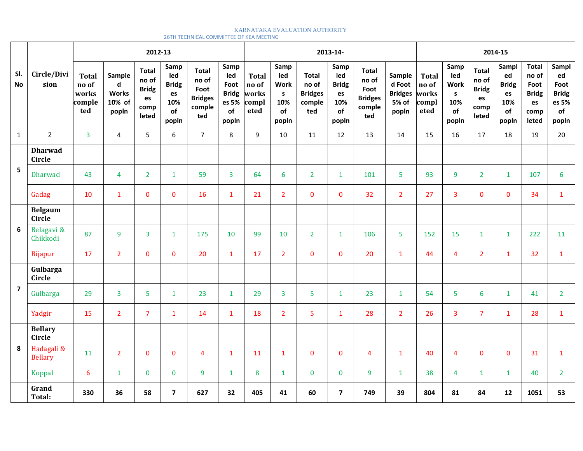#### KARNATAKA EVALUATION AUTHORITY 26TH TECHNICAL COMMITTEE OF KEA MEETING

|                         |                                 |                                                 | 2012-13<br>2013-14-                            |                                                              |                                                         |                                                                  |                                                             |                                                 |                                                                  |                                                          |                                                         | 2014-15                                                          |                                                      |                                                 |                                                                  |                                                              |                                                         |                                                                      |                                                             |
|-------------------------|---------------------------------|-------------------------------------------------|------------------------------------------------|--------------------------------------------------------------|---------------------------------------------------------|------------------------------------------------------------------|-------------------------------------------------------------|-------------------------------------------------|------------------------------------------------------------------|----------------------------------------------------------|---------------------------------------------------------|------------------------------------------------------------------|------------------------------------------------------|-------------------------------------------------|------------------------------------------------------------------|--------------------------------------------------------------|---------------------------------------------------------|----------------------------------------------------------------------|-------------------------------------------------------------|
| SI.<br><b>No</b>        | Circle/Divi<br>sion             | <b>Total</b><br>no of<br>works<br>comple<br>ted | Sample<br>d<br><b>Works</b><br>10% of<br>popln | <b>Total</b><br>no of<br><b>Bridg</b><br>es<br>comp<br>leted | Samp<br>led<br><b>Bridg</b><br>es<br>10%<br>of<br>popln | <b>Total</b><br>no of<br>Foot<br><b>Bridges</b><br>comple<br>ted | Samp<br>led<br>Foot<br><b>Bridg</b><br>es 5%<br>of<br>popln | <b>Total</b><br>no of<br>works<br>compl<br>eted | Samp<br>led<br><b>Work</b><br>$\mathsf{s}$<br>10%<br>of<br>popln | <b>Total</b><br>no of<br><b>Bridges</b><br>comple<br>ted | Samp<br>led<br><b>Bridg</b><br>es<br>10%<br>of<br>popln | <b>Total</b><br>no of<br>Foot<br><b>Bridges</b><br>comple<br>ted | Sample<br>d Foot<br><b>Bridges</b><br>5% of<br>popln | <b>Total</b><br>no of<br>works<br>compl<br>eted | Samp<br>led<br><b>Work</b><br>$\mathsf{s}$<br>10%<br>of<br>popln | <b>Total</b><br>no of<br><b>Bridg</b><br>es<br>comp<br>leted | Sampl<br>ed<br><b>Bridg</b><br>es<br>10%<br>of<br>popln | <b>Total</b><br>no of<br>Foot<br><b>Bridg</b><br>es<br>comp<br>leted | Sampl<br>ed<br>Foot<br><b>Bridg</b><br>es 5%<br>of<br>popln |
| $\mathbf{1}$            | $\overline{2}$                  | $\overline{3}$                                  | $\overline{4}$                                 | 5                                                            | 6                                                       | $\overline{7}$                                                   | 8                                                           | $\mathsf{q}$                                    | 10                                                               | 11                                                       | 12                                                      | 13                                                               | 14                                                   | 15                                              | 16                                                               | 17                                                           | 18                                                      | 19                                                                   | 20                                                          |
|                         | <b>Dharwad</b><br><b>Circle</b> |                                                 |                                                |                                                              |                                                         |                                                                  |                                                             |                                                 |                                                                  |                                                          |                                                         |                                                                  |                                                      |                                                 |                                                                  |                                                              |                                                         |                                                                      |                                                             |
| 5                       | Dharwad                         | 43                                              | $\overline{4}$                                 | $\overline{2}$                                               | $\mathbf{1}$                                            | 59                                                               | 3                                                           | 64                                              | $6\phantom{1}6$                                                  | $2^{\circ}$                                              | $\mathbf{1}$                                            | 101                                                              | 5                                                    | 93                                              | 9                                                                | $\overline{2}$                                               | $\mathbf{1}$                                            | 107                                                                  | 6                                                           |
|                         | Gadag                           | 10                                              | $\mathbf{1}$                                   | $\mathbf 0$                                                  | $\mathbf{0}$                                            | 16                                                               | $\mathbf{1}$                                                | 21                                              | 2 <sup>1</sup>                                                   | $\mathbf 0$                                              | $\mathbf{0}$                                            | 32                                                               | 2 <sup>1</sup>                                       | 27                                              | 3                                                                | $\mathbf 0$                                                  | 0                                                       | 34                                                                   | $\mathbf{1}$                                                |
| 6                       | <b>Belgaum</b><br><b>Circle</b> |                                                 |                                                |                                                              |                                                         |                                                                  |                                                             |                                                 |                                                                  |                                                          |                                                         |                                                                  |                                                      |                                                 |                                                                  |                                                              |                                                         |                                                                      |                                                             |
|                         | Belagavi &<br>Chikkodi          | 87                                              | 9                                              | $\overline{3}$                                               | $\mathbf{1}$                                            | 175                                                              | 10                                                          | 99                                              | 10                                                               | 2 <sup>1</sup>                                           | $\mathbf{1}$                                            | 106                                                              | 5                                                    | 152                                             | 15                                                               | $\mathbf{1}$                                                 | $\mathbf{1}$                                            | 222                                                                  | 11                                                          |
|                         | Bijapur                         | 17                                              | $\overline{2}$                                 | $\mathbf 0$                                                  | $\mathbf{0}$                                            | 20                                                               | $\mathbf{1}$                                                | 17                                              | $\overline{2}$                                                   | $\mathbf{0}$                                             | $\mathbf{0}$                                            | 20                                                               | $\mathbf{1}$                                         | 44                                              | $\overline{4}$                                                   | $\overline{2}$                                               | $\mathbf{1}$                                            | 32                                                                   | $\mathbf{1}$                                                |
|                         | Gulbarga<br>Circle              |                                                 |                                                |                                                              |                                                         |                                                                  |                                                             |                                                 |                                                                  |                                                          |                                                         |                                                                  |                                                      |                                                 |                                                                  |                                                              |                                                         |                                                                      |                                                             |
| $\overline{\mathbf{z}}$ | Gulbarga                        | 29                                              | 3                                              | 5                                                            | $\mathbf{1}$                                            | 23                                                               | $\mathbf{1}$                                                | 29                                              | $\overline{3}$                                                   | 5                                                        | $\mathbf{1}$                                            | 23                                                               | $\mathbf{1}$                                         | 54                                              | 5                                                                | 6                                                            | $\mathbf{1}$                                            | 41                                                                   | $\overline{2}$                                              |
|                         | Yadgir                          | 15                                              | $\overline{2}$                                 | $\overline{7}$                                               | $\mathbf{1}$                                            | 14                                                               | $\mathbf{1}$                                                | 18                                              | $\overline{2}$                                                   | 5                                                        | $\mathbf{1}$                                            | 28                                                               | $\overline{2}$                                       | 26                                              | 3                                                                | $\overline{7}$                                               | $\mathbf{1}$                                            | 28                                                                   | $\mathbf{1}$                                                |
| 8                       | <b>Bellary</b><br><b>Circle</b> |                                                 |                                                |                                                              |                                                         |                                                                  |                                                             |                                                 |                                                                  |                                                          |                                                         |                                                                  |                                                      |                                                 |                                                                  |                                                              |                                                         |                                                                      |                                                             |
|                         | Hadagali &<br><b>Bellary</b>    | 11                                              | $\overline{2}$                                 | $\mathbf{0}$                                                 | $\Omega$                                                | $\overline{4}$                                                   | $\mathbf{1}$                                                | 11                                              | $\mathbf{1}$                                                     | $\mathbf{0}$                                             | $\mathbf{0}$                                            | $\overline{4}$                                                   | $\mathbf{1}$                                         | 40                                              | $\overline{4}$                                                   | $\mathbf{0}$                                                 | $\Omega$                                                | 31                                                                   | $\mathbf{1}$                                                |
|                         | Koppal                          | 6                                               | $\mathbf{1}$                                   | $\mathbf 0$                                                  | $\mathbf{0}$                                            | 9                                                                | $\mathbf{1}$                                                | 8                                               | $\mathbf{1}$                                                     | $\mathbf 0$                                              | $\mathbf{0}$                                            | 9                                                                | $\mathbf{1}$                                         | 38                                              | 4                                                                | $\mathbf{1}$                                                 | $\mathbf{1}$                                            | 40                                                                   | $\overline{2}$                                              |
|                         | Grand<br>Total:                 | 330                                             | 36                                             | 58                                                           | $\overline{7}$                                          | 627                                                              | 32                                                          | 405                                             | 41                                                               | 60                                                       | $\overline{7}$                                          | 749                                                              | 39                                                   | 804                                             | 81                                                               | 84                                                           | $12 \overline{ }$                                       | 1051                                                                 | 53                                                          |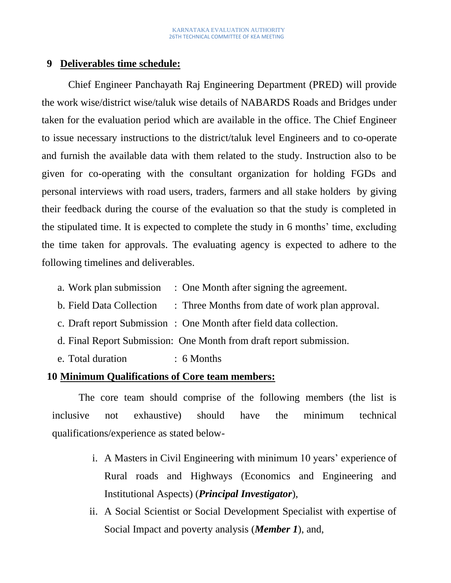#### **9 Deliverables time schedule:**

Chief Engineer Panchayath Raj Engineering Department (PRED) will provide the work wise/district wise/taluk wise details of NABARDS Roads and Bridges under taken for the evaluation period which are available in the office. The Chief Engineer to issue necessary instructions to the district/taluk level Engineers and to co-operate and furnish the available data with them related to the study. Instruction also to be given for co-operating with the consultant organization for holding FGDs and personal interviews with road users, traders, farmers and all stake holders by giving their feedback during the course of the evaluation so that the study is completed in the stipulated time. It is expected to complete the study in 6 months' time, excluding the time taken for approvals. The evaluating agency is expected to adhere to the following timelines and deliverables.

- a. Work plan submission : One Month after signing the agreement.
- b. Field Data Collection : Three Months from date of work plan approval.
- c. Draft report Submission : One Month after field data collection.
- d. Final Report Submission: One Month from draft report submission.
- e. Total duration : 6 Months

#### **10 Minimum Qualifications of Core team members:**

The core team should comprise of the following members (the list is inclusive not exhaustive) should have the minimum technical qualifications/experience as stated below-

- i. A Masters in Civil Engineering with minimum 10 years' experience of Rural roads and Highways (Economics and Engineering and Institutional Aspects) (*Principal Investigator*),
- ii. A Social Scientist or Social Development Specialist with expertise of Social Impact and poverty analysis (*Member 1*), and,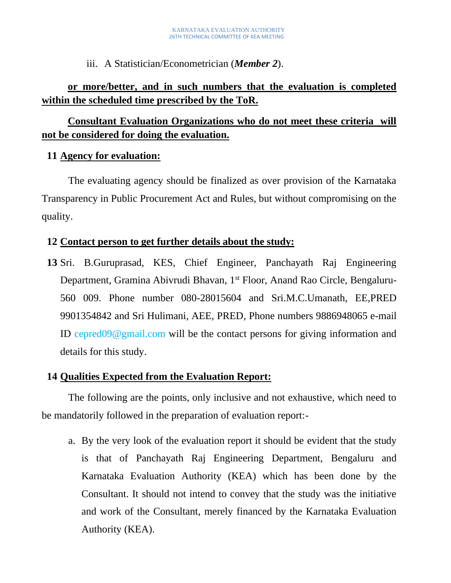iii. A Statistician/Econometrician (*Member 2*).

# **or more/better, and in such numbers that the evaluation is completed within the scheduled time prescribed by the ToR.**

# **Consultant Evaluation Organizations who do not meet these criteria will not be considered for doing the evaluation.**

## **11 Agency for evaluation:**

The evaluating agency should be finalized as over provision of the Karnataka Transparency in Public Procurement Act and Rules, but without compromising on the quality.

## **12 Contact person to get further details about the study:**

**13** Sri. B.Guruprasad, KES, Chief Engineer, Panchayath Raj Engineering Department, Gramina Abivrudi Bhavan, 1<sup>st</sup> Floor, Anand Rao Circle, Bengaluru-560 009. Phone number 080-28015604 and Sri.M.C.Umanath, EE,PRED 9901354842 and Sri Hulimani, AEE, PRED, Phone numbers 9886948065 e-mail ID cepred09@gmail.com will be the contact persons for giving information and details for this study.

## **14 Qualities Expected from the Evaluation Report:**

The following are the points, only inclusive and not exhaustive, which need to be mandatorily followed in the preparation of evaluation report:-

a. By the very look of the evaluation report it should be evident that the study is that of Panchayath Raj Engineering Department, Bengaluru and Karnataka Evaluation Authority (KEA) which has been done by the Consultant. It should not intend to convey that the study was the initiative and work of the Consultant, merely financed by the Karnataka Evaluation Authority (KEA).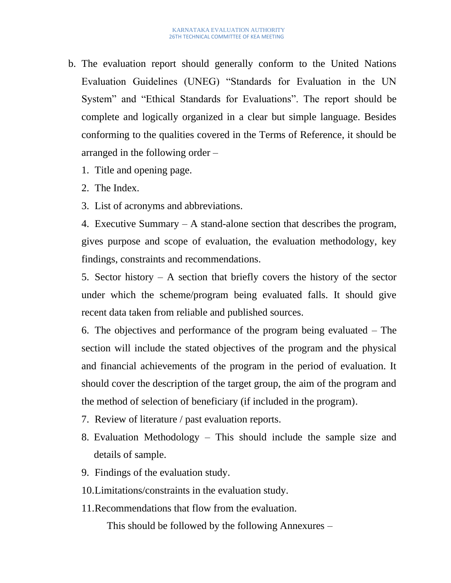- b. The evaluation report should generally conform to the United Nations Evaluation Guidelines (UNEG) "Standards for Evaluation in the UN System" and "Ethical Standards for Evaluations". The report should be complete and logically organized in a clear but simple language. Besides conforming to the qualities covered in the Terms of Reference, it should be arranged in the following order –
	- 1. Title and opening page.
	- 2. The Index.
	- 3. List of acronyms and abbreviations.

4. Executive Summary – A stand-alone section that describes the program, gives purpose and scope of evaluation, the evaluation methodology, key findings, constraints and recommendations.

5. Sector history  $- A$  section that briefly covers the history of the sector under which the scheme/program being evaluated falls. It should give recent data taken from reliable and published sources.

6. The objectives and performance of the program being evaluated – The section will include the stated objectives of the program and the physical and financial achievements of the program in the period of evaluation. It should cover the description of the target group, the aim of the program and the method of selection of beneficiary (if included in the program).

- 7. Review of literature / past evaluation reports.
- 8. Evaluation Methodology This should include the sample size and details of sample.
- 9. Findings of the evaluation study.
- 10.Limitations/constraints in the evaluation study.
- 11.Recommendations that flow from the evaluation.

This should be followed by the following Annexures –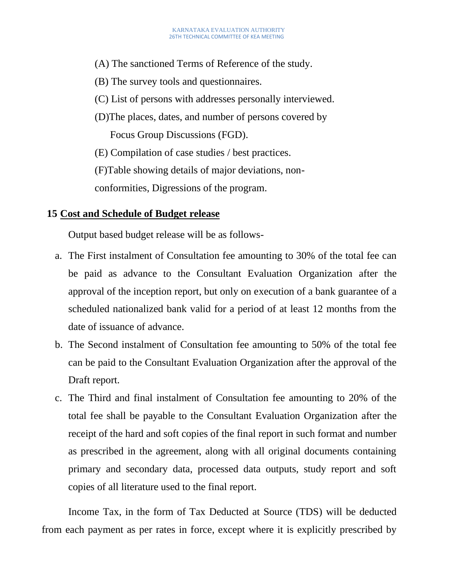- (A) The sanctioned Terms of Reference of the study.
- (B) The survey tools and questionnaires.
- (C) List of persons with addresses personally interviewed.
- (D)The places, dates, and number of persons covered by Focus Group Discussions (FGD).
- (E) Compilation of case studies / best practices.

(F)Table showing details of major deviations, non-

conformities, Digressions of the program.

## **15 Cost and Schedule of Budget release**

Output based budget release will be as follows-

- a. The First instalment of Consultation fee amounting to 30% of the total fee can be paid as advance to the Consultant Evaluation Organization after the approval of the inception report, but only on execution of a bank guarantee of a scheduled nationalized bank valid for a period of at least 12 months from the date of issuance of advance.
- b. The Second instalment of Consultation fee amounting to 50% of the total fee can be paid to the Consultant Evaluation Organization after the approval of the Draft report.
- c. The Third and final instalment of Consultation fee amounting to 20% of the total fee shall be payable to the Consultant Evaluation Organization after the receipt of the hard and soft copies of the final report in such format and number as prescribed in the agreement, along with all original documents containing primary and secondary data, processed data outputs, study report and soft copies of all literature used to the final report.

Income Tax, in the form of Tax Deducted at Source (TDS) will be deducted from each payment as per rates in force, except where it is explicitly prescribed by